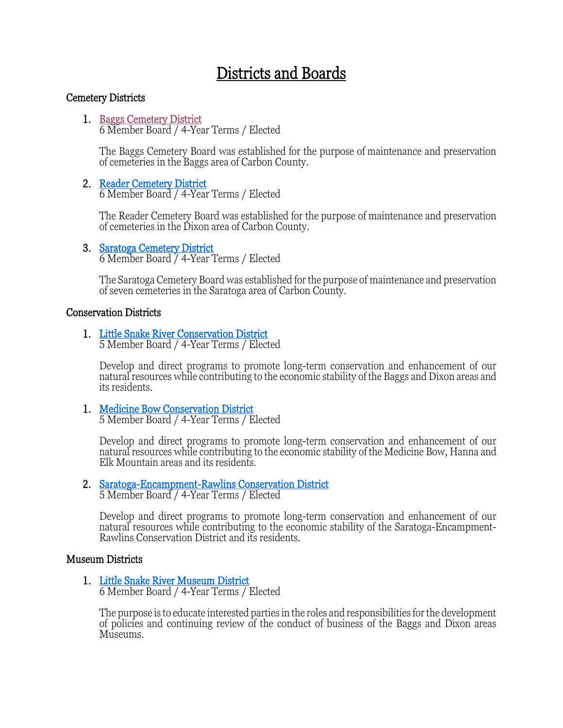### Districts and Boards

### Cemetery Districts

# 1. <u>Baggs Cemetery District</u><br>6 Member Board / 4-Year Terms / Elected

The Baggs Cemetery Board was established for the purpose of maintenance and preservation of cemeteries in the Baggs area of Carbon County.

### 2. Reader Cemetery District<br>6 Member Board / 4-Year Terms / Elected

The Reader Cemetery Board was established for the purpose of maintenance and preservation of cemeteries in the Dixon area of Carbon County.

# 3. Saratoga Cemetery District<br>6 Member Board / 4-Year Terms / Elected

The Saratoga Cemetery Board was established for the purpose of maintenance and preservation of seven cemeteries in the Saratoga area of Carbon County.

### Conservation Districts

1. [Little Snake River Conservation District 5 Member Board / 4-Year Terms / Elect](https://www.carbonwy.com/900/Little-Snake-River-Conservation-District)ed

Develop and direct programs to promote long-term conservation and enhancement of our natural resources while contributing to the economic stability of the Baggs and Dixon areas and its residents.

# 1. Medicine Bow Conservation District<br>5 Member Board / 4-Year Terms / Elected

Develop and direct programs to promote long-term conservation and enhancement of our natural resources while contributing to the economic stability of the Medicine Bow, Hanna and Elk Mountain areas and its residents.

# 2. [Saratoga-Encampment-Rawlins Conservation District](https://www.carbonwy.com/918/Saratoga---Encampment---Rawlins-Conserva) 5 Member Board / 4-Year Terms / Elected

Develop and direct programs to promote long-term conservation and enhancement of our natural resources while contributing to the economic stability of the Saratoga-Encampment-<br>Rawlins Conservation District and its residents.

### Museum Districts

# 1. Little Snake River Museum District<br>6 Member Board / 4-Year Terms / Elected

The purpose is to educate interested parties in the roles and responsibilities for the development of policies and continuing review of the conduct of business of the Baggs and Dixon areas Museums.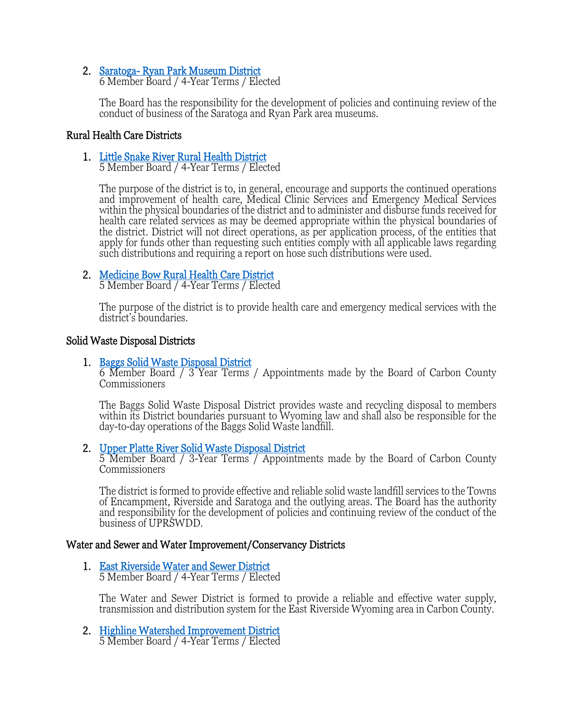### 2. [Saratoga- Ryan Park Museum District 6 Member Board / 4-Year Terms / Elec](https://www.carbonwy.com/1170/Saratoga-Ryan-Park-Museum-District)ted

The Board has the responsibility for the development of policies and continuing review of the conduct of business of the Saratoga and Ryan Park area museums.

### Rural Health Care Districts

1. [Little Snake River Rural Health District 5 Member Board / 4-Year Terms / Elect](https://www.carbonwy.com/902/Little-Snake-River-Rural-Health-District)ed

The purpose of the district is to, in general, encourage and supports the continued operations and improvement of health care, Medical Clinic Services and Emergency Medical Services within the physical boundaries of the district and to administer and disburse funds received for health care related services as may be deemed appropriate within the physical boundaries of the district. District will not direct operations, as per application process, of the entities that apply for funds other than requesting such entities comply with all applicable laws regarding such distributions and requiring a report on hose such distributions were used.

# 2. [Medicine Bow Rural Health Care District 5 Member Board / 4-Year Terms / Elected](https://www.carbonwy.com/904/Medicine-Bow-Rural-Health-Care-District)

The purpose of the district is to provide health care and emergency medical services with the district's boundaries.

Solid Waste Disposal Districts<br>1. Baggs Solid Waste Disposal District<br>6 Member Board / 3 Year Terms / Appointments made by the Board of Carbon County Commissioners

The Baggs Solid Waste Disposal District provides waste and recycling disposal to members within its District boundaries pursuant to Wyoming law and shall also be responsible for the day-to-day operations of the Baggs Solid Waste landfill.

2. [Upper Platte River Solid Waste Disposal District 5 Member Board / 3-Year Terms / Appointme](https://www.carbonwy.com/922/Upper-Platte-River-Solid-Waste-District)nts made by the Board of Carbon County Commissioners

The district is formed to provide effective and reliable solid waste landfill services to the Towns of Encampment, Riverside and Saratoga and the outlying areas. The Board has the authority and responsibility for the development of policies and continuing review of the conduct of the business of UPRSWDD.

### Water and Sewer and Water Improvement/Conservancy Districts

1. [East Riverside Water and Sewer District 5 Member Board / 4-Year Terms / Electe](https://www.carbonwy.com/893/East-Riverside-Water-Sewer-District)d

The Water and Sewer District is formed to provide a reliable and effective water supply, transmission and distribution system for the East Riverside Wyoming area in Carbon County.

2. [Highline Watershed Improvement District 5 Member Board / 4-Year Terms / Elected](https://www.carbonwy.com/897/Highline-Watershed-Improvement-District)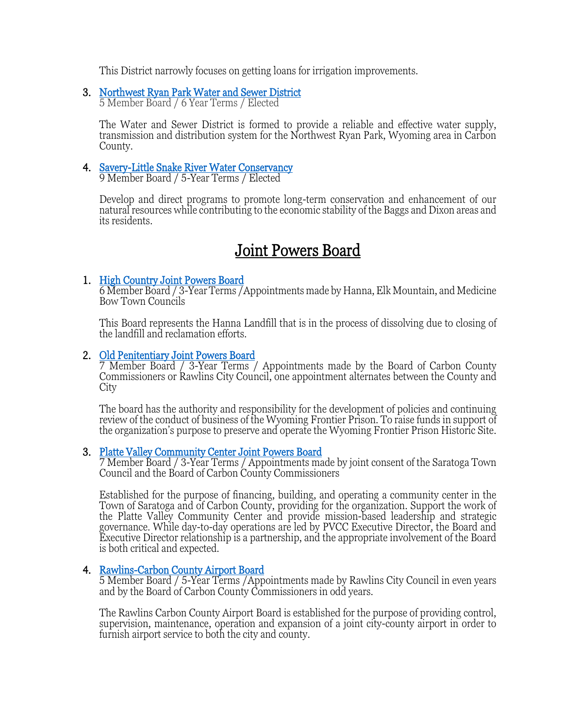This District narrowly focuses on getting loans for irrigation improvements.

### 3. [Northwest Ryan Park Water and Sewer District 5 Member Board / 6 Year Terms / Elected](https://www.carbonwy.com/907/Northwest-Ryan-Park-Water-Sewer-District)

The Water and Sewer District is formed to provide a reliable and effective water supply, transmission and distribution system for the Northwest Ryan Park, Wyoming area in Carbon County.

# 4. [Savery-Little Snake River Water Conservancy 9 Member Board / 5-Year Terms / Elected](https://www.carbonwy.com/919/Savery---Little-Snake-River-Water-Conser)

Develop and direct programs to promote long-term conservation and enhancement of our natural resources while contributing to the economic stability of the Baggs and Dixon areas and its residents.

Joint Powers Board<br>1. High Country Joint Powers Board<br>6 Member Board / 3-Year Terms /Appointments made by Hanna, Elk Mountain, and Medicine Bow Town Councils

This Board represents the Hanna Landfill that is in the process of dissolving due to closing of the landfill and reclamation efforts.

2. Old Penitentiary Joint Powers Board<br>7 Member Board / 3-Year Terms / Appointments made by the Board of Carbon County<br>Commissioners or Rawlins City Council, one appointment alternates between the County and **City** 

The board has the authority and responsibility for the development of policies and continuing review of the conduct of business of the Wyoming Frontier Prison. To raise funds in support of the organization's purpose to preserve and operate the Wyoming Frontier Prison Historic Site.

3. Platte Valley Community Center Joint Powers Board<br>7 Member Board / 3-Year Terms / Appointments made by joint consent of the Saratoga Town<br>Council and the Board of Carbon County Commissioners

Established for the purpose of financing, building, and operating a community center in the Town of Saratoga and of Carbon County, providing for the organization. Support the work of governance. While day-to-day operations are led by PVCC Executive Director, the Board and Executive Director relationship is a partnership, and the appropriate involvement of the Board is both critical and expected.

4. Rawlins-Carbon County Airport Board<br>5 Member Board / 5-Year Terms /Appointments made by Rawlins City Council in even years and by the Board of Carbon County Commissioners in odd years.

The Rawlins Carbon County Airport Board is established for the purpose of providing control, supervision, maintenance, operation and expansion of a joint city-county airport in order to furnish airport service to both the city and county.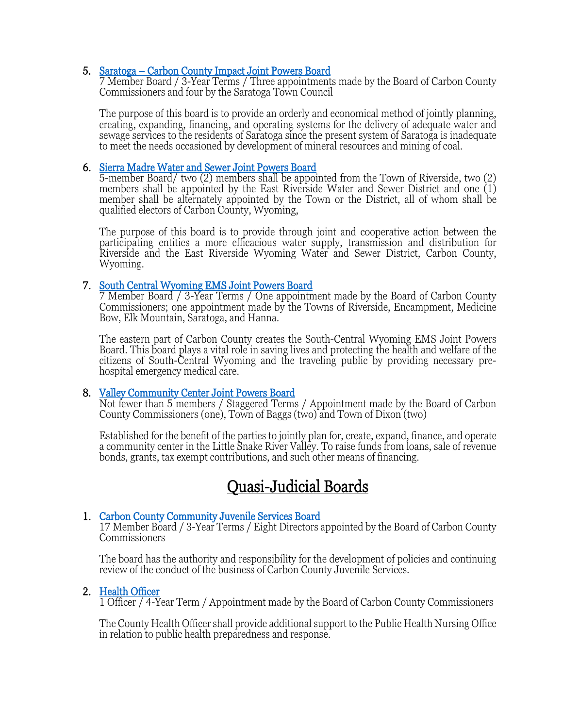5. [Saratoga – Carbon County Impact Joint Powers Board 7 Member Board / 3-Year Terms / Three appointments](https://www.carbonwy.com/916/Saratoga---Impact-Joint-Powers-Board) made by the Board of Carbon County Commissioners and four by the Saratoga Town Council

The purpose of this board is to provide an orderly and economical method of jointly planning, creating, expanding, financing, and operating systems for the delivery of adequate water and sewage services to the residents of Saratoga since the present system of Saratoga is inadequate to meet the needs occasioned by development of mineral resources and mining of coal.

6. Sierra Madre Water and Sewer Joint Powers Board<br>5-member Board/ two (2) members shall be appointed from the Town of Riverside, two (2) members shall be appointed by the East Riverside Water and Sewer District and one  $(1)$ member shall be alternately appointed by the Town or the District, all of whom shall be qualified electors of Carbon County, Wyoming,

The purpose of this board is to provide through joint and cooperative action between the participating entities a more efficacious water supply, transmission and distribution for Riverside and the East Riverside Wyoming Water and Sewer District, Carbon County, Wyoming.

7. South Central Wyoming EMS Joint Powers Board<br>7 Member Board / 3-Year Terms / One appointment made by the Board of Carbon County<br>7 Commissioners; one appointment made by the Towns of Riverside, Encampment, Medicine Bow, Elk Mountain, Saratoga, and Hanna.

The eastern part of Carbon County creates the South-Central Wyoming EMS Joint Powers Board. This board plays a vital role in saving lives and protecting the health and welfare of the citizens of South-Central Wyoming and the traveling public by providing necessary pre- hospital emergency medical care.

8. Valley Community Center Joint Powers Board<br>Not fewer than 5 members / Staggered Terms / Appointment made by the Board of Carbon County Commissioners (one), Town of Baggs (two) and Town of Dixon (two)

Established for the benefit of the parties to jointly plan for, create, expand, finance, and operate a community center in the Little Snake River Valley. To raise funds from loans, sale of revenue bonds, grants, tax exempt contributions, and such other means of financing.

Quasi-Judicial Boards<br>1. Carbon County Community Juvenile Services Board<br>17 Member Board / 3-Year Terms / Eight Directors appointed by the Board of Carbon County **Commissioners** 

The board has the authority and responsibility for the development of policies and continuing review of the conduct of the business of Carbon County Juvenile Services.

2. Health Officer 1 Officer 1 Officer 1 Officer / 4-Year Term / Appointment made by the Board of Carbon County Commissioners

The County Health Officer shall provide additional support to the Public Health Nursing Office in relation to public health preparedness and response.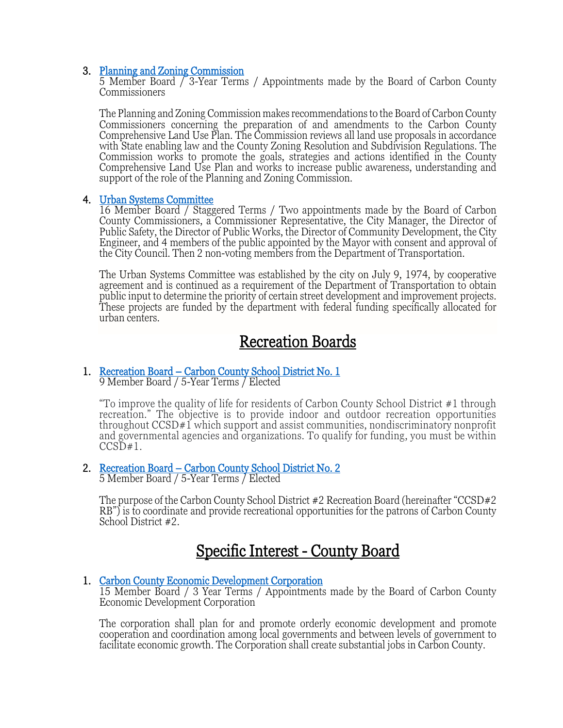3. [Planning and Zoning Commission 5 Member Board / 3-Year Terms](https://www.carbonwy.com/909/Planning-Zoning-Commission) / Appointments made by the Board of Carbon County Commissioners

The Planning and Zoning Commission makes recommendations to the Board of Carbon County Commissioners concerning the preparation of and amendments to the Carbon County Comprehensive Land Use Plan. The Commission reviews all land use proposals in accordance with State enabling law and the County Zoning Resolution and Subdivision Regulations. The Commission works to promote the goals, strategies and actions identified in the County Comprehensive Land Use Plan and works to increase public awareness, understanding and support of the role of the Planning and Zoning Commission.

4. <u>Urban Systems Committee</u><br>16 Member Board / Staggered Terms / Two appointments made by the Board of Carbon County Commissioners, a Commissioner Representative, the City Manager, the Director of Public Safety, the Director of Public Works, the Director of Community Development, the City Engineer, and 4 members of the public appointed by the Mayor with consent and approval of the City Council. Then 2 non-voting members from the Department of Transportation.

The Urban Systems Committee was established by the city on July 9, 1974, by cooperative agreement and is continued as a requirement of the Department of Transportation to obtain public input to determine the priority of certain street development and improvement projects. These projects are funded by the department with federal funding specifically allocated for urban centers.

# Recreation Boards<br>1. Recreation Board – Carbon County School District No. 1<br>9 Member Board / 5-Year Terms / Elected

"To improve the quality of life for residents of Carbon County School District #1 through recreation." The objective is to provide indoor and outdoor recreation opportunities throughout CCSD#1 which support and assist communities, nondiscriminatory nonprofit and governmental agencies and organizations. To qualify for funding, you must be within  $CCSD#1$ .

2. Recreation Board – Carbon County School District No. 2<br>5 Member Board / 5-Year Terms / Elected

The purpose of the Carbon County School District #2 Recreation Board (hereinafter "CCSD#2 RB") is to coordinate and provide recreational opportunities for the patrons of Carbon County School District #2.

Specific Interest - County Board<br>1. Carbon County Economic Development Corporation<br>15 Member Board / 3 Year Terms / Appointments made by the Board of Carbon County Economic Development Corporation

The corporation shall plan for and promote orderly economic development and promote cooperation and coordination among local governments and between levels of government to facilitate economic growth. The Corporation shall create substantial jobs in Carbon County.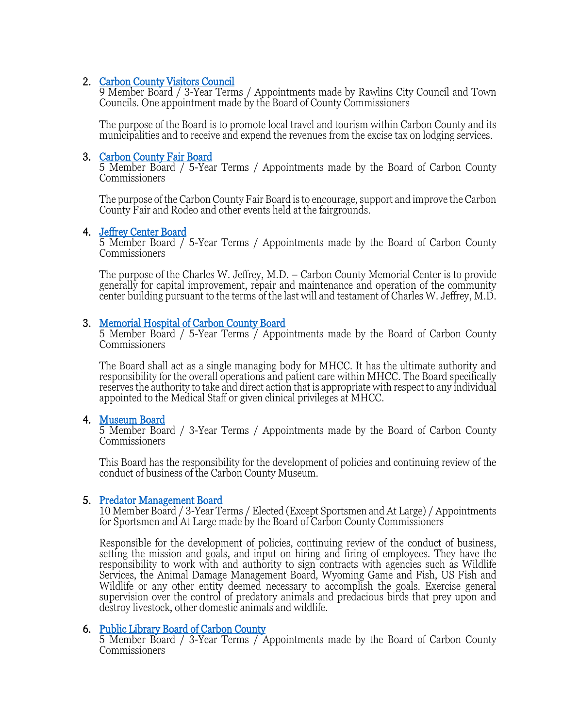2. Carbon County Visitors Council<br>
9 Member Board / 3-Year Terms / Appointments made by Rawlins City Council and Town<br>
Councils. One appointment made by the Board of County Commissioners

The purpose of the Board is to promote local travel and tourism within Carbon County and its municipalities and to receive and expend the revenues from the excise tax on lodging services.

3. Carbon County Fair Board<br>5 Member Board / 5-Year Terms / Appointments made by the Board of Carbon County **Commissioners** 

The purpose of the Carbon County Fair Board is to encourage, support and improve the Carbon County Fair and Rodeo and other events held at the fairgrounds.

4. Jeffrey Center Board<br>5 Member Board / 5-Year Terms / Appointments made by the Board of Carbon County **Commissioners** 

The purpose of the Charles W. Jeffrey, M.D. – Carbon County Memorial Center is to provide generally for capital improvement, repair and maintenance and operation of the community center building pursuant to the terms of the last will and testament of Charles W. Jeffrey, M.D.

3. Memorial Hospital of Carbon County Board<br>5 Member Board / 5-Year Terms / Appointments made by the Board of Carbon County Commissioners

The Board shall act as a single managing body for MHCC. It has the ultimate authority and responsibility for the overall operations and patient care within MHCC. The Board specifically reserves the authority to take and direct action that is appropriate with respect to any individual appointed to the Medical Staff or given clinical privileges at MHCC.

4. Museum Board<br>5 Member Board / 3-Year Terms / Appointments made by the Board of Carbon County Commissioners

This Board has the responsibility for the development of policies and continuing review of the conduct of business of the Carbon County Museum.

5. Predator Management Board<br>10 Member Board / 3-Year Terms / Elected (Except Sportsmen and At Large) / Appointments<br>for Sportsmen and At Large made by the Board of Carbon County Commissioners

Responsible for the development of policies, continuing review of the conduct of business, setting the mission and goals, and input on hiring and firing of employees. They have the<br>responsibility to work with and authority to sign contracts with agencies such as Wildlife Services, the Animal Damage Management Board, Wyoming Game and Fish, US Fish and Wildlife or any other entity deemed necessary to accomplish the goals. Exercise general supervision over the control of predatory animals and predacious birds that prey upon and destroy livestock, other domestic animals and wildlife.

6. [Public Library Board of Carbon County 5 Member Board / 3-Year Terms / A](https://www.carbonwy.com/912/Public-Library-Board-of-Carbon-County)ppointments made by the Board of Carbon County Commissioners